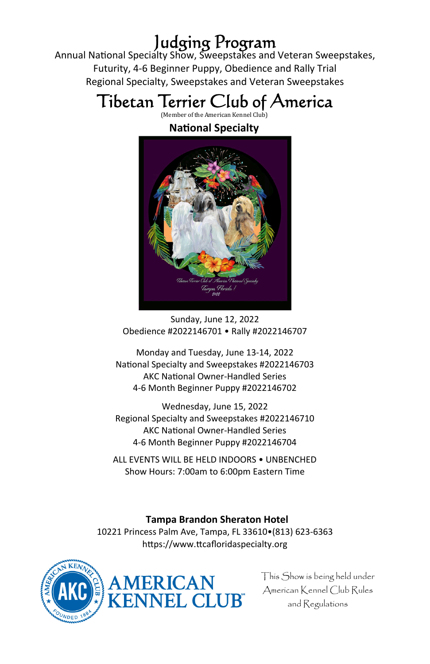Judging Program Annual National Specialty Show, Sweepstakes and Veteran Sweepstakes, Futurity, 4-6 Beginner Puppy, Obedience and Rally Trial Regional Specialty, Sweepstakes and Veteran Sweepstakes

# Tibetan Terrier Club of America

(Member of the American Kennel Club)

### **NaƟonal Specialty**



Sunday, June 12, 2022 Obedience #2022146701 • Rally #2022146707

Monday and Tuesday, June 13-14, 2022 National Specialty and Sweepstakes #2022146703 **AKC National Owner-Handled Series** 4-6 Month Beginner Puppy #2022146702

Wednesday, June 15, 2022 Regional Specialty and Sweepstakes #2022146710 **AKC National Owner-Handled Series** 4-6 Month Beginner Puppy #2022146704

ALL EVENTS WILL BE HELD INDOORS • UNBENCHED Show Hours: 7:00am to 6:00pm Eastern Time

**Tampa Brandon Sheraton Hotel** 

10221 Princess Palm Ave, Tampa, FL 33610•(813) 623-6363 https://www.ttcafloridaspecialty.org



This Show is being held under American Kennel Club Rules and Regulations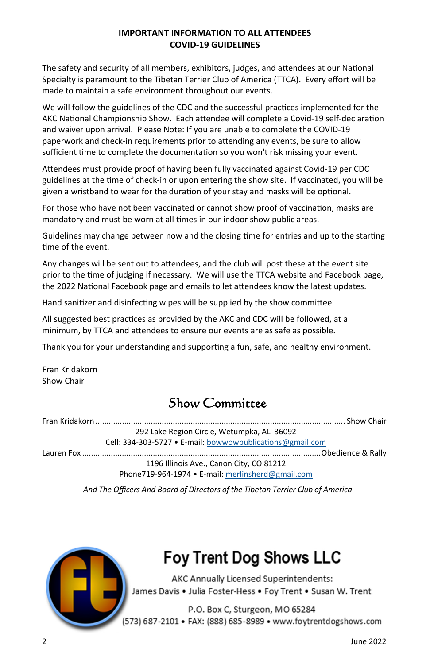### **IMPORTANT INFORMATION TO ALL ATTENDEES COVID-19 GUIDELINES**

The safety and security of all members, exhibitors, judges, and attendees at our National Specialty is paramount to the Tibetan Terrier Club of America (TTCA). Every effort will be made to maintain a safe environment throughout our events.

We will follow the guidelines of the CDC and the successful practices implemented for the AKC National Championship Show. Each attendee will complete a Covid-19 self-declaration and waiver upon arrival. Please Note: If you are unable to complete the COVID-19 paperwork and check-in requirements prior to attending any events, be sure to allow sufficient time to complete the documentation so you won't risk missing your event.

Attendees must provide proof of having been fully vaccinated against Covid-19 per CDC guidelines at the time of check-in or upon entering the show site. If vaccinated, you will be given a wristband to wear for the duration of your stay and masks will be optional.

For those who have not been vaccinated or cannot show proof of vaccination, masks are mandatory and must be worn at all times in our indoor show public areas.

Guidelines may change between now and the closing time for entries and up to the starting time of the event.

Any changes will be sent out to attendees, and the club will post these at the event site prior to the time of judging if necessary. We will use the TTCA website and Facebook page, the 2022 National Facebook page and emails to let attendees know the latest updates.

Hand sanitizer and disinfecting wipes will be supplied by the show committee.

All suggested best practices as provided by the AKC and CDC will be followed, at a minimum, by TTCA and attendees to ensure our events are as safe as possible.

Thank you for your understanding and supporting a fun, safe, and healthy environment.

Fran Kridakorn Show Chair

### Show Committee

Fran Kridakorn ................................................................................................................. Show Chair 292 Lake Region Circle, Wetumpka, AL 36092 Cell: 334-303-5727 • E-mail: bowwowpublications@gmail.com Lauren Fox ............................................................................................................ Obedience & Rally 1196 Illinois Ave., Canon City, CO 81212

Phone719-964-1974 • E-mail: merlinsherd@gmail.com

*And The Officers And Board of Directors of the Tibetan Terrier Club of America*



# Foy Trent Dog Shows LLC

AKC Annually Licensed Superintendents: James Davis . Julia Foster-Hess . Foy Trent . Susan W. Trent

P.O. Box C, Sturgeon, MO 65284 (573) 687-2101 • FAX: (888) 685-8989 • www.foytrentdogshows.com

2 June 2022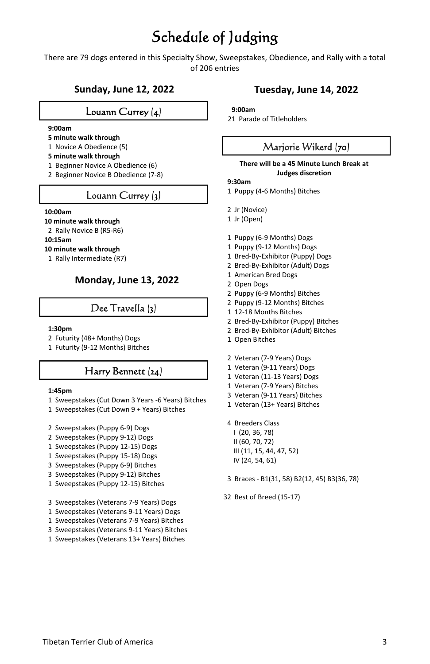## Schedule of Judging

There are 79 dogs entered in this Specialty Show, Sweepstakes, Obedience, and Rally with a total of 206 entries

### **Sunday, June 12, 2022**

### Louann Currey (4)

### **9:00am**

- **5 minute walk through**
- 1 Novice A Obedience (5)
- **5 minute walk through**
- 1 Beginner Novice A Obedience (6)
- 2 Beginner Novice B Obedience (7-8)

### Louann Currey (3)

#### **10:00am**

- **10 minute walk through**
- 2 Rally Novice B (R5-R6)

### **10:15am**

- **10 minute walk through**
- 1 Rally Intermediate (R7)

### **Monday, June 13, 2022**

### Dee Travella (3)

#### **1:30pm**

- 2 Futurity (48+ Months) Dogs
- 1 Futurity (9-12 Months) Bitches

### Harry Bennett (24)

#### **1:45pm**

- 1 Sweepstakes (Cut Down 3 Years -6 Years) Bitches
- 1 Sweepstakes (Cut Down 9 + Years) Bitches
- 2 Sweepstakes (Puppy 6-9) Dogs
- 2 Sweepstakes (Puppy 9-12) Dogs
- 1 Sweepstakes (Puppy 12-15) Dogs
- 1 Sweepstakes (Puppy 15-18) Dogs
- 3 Sweepstakes (Puppy 6-9) Bitches
- 3 Sweepstakes (Puppy 9-12) Bitches
- 1 Sweepstakes (Puppy 12-15) Bitches
- 3 Sweepstakes (Veterans 7-9 Years) Dogs
- 1 Sweepstakes (Veterans 9-11 Years) Dogs
- 1 Sweepstakes (Veterans 7-9 Years) Bitches
- 3 Sweepstakes (Veterans 9-11 Years) Bitches
- 1 Sweepstakes (Veterans 13+ Years) Bitches

### **Tuesday, June 14, 2022**

#### **9:00am**

21 Parade of Titleholders

### Marjorie Wikerd (70)

#### **There will be a 45 Minute Lunch Break at Judges discretion**

### **9:30am**

- 1 Puppy (4-6 Months) Bitches
- 2 Jr (Novice)
- 1 Jr (Open)
- 1 Puppy (6-9 Months) Dogs
- 1 Puppy (9-12 Months) Dogs
- 1 Bred-By-Exhibitor (Puppy) Dogs
- 2 Bred-By-Exhibitor (Adult) Dogs
- 1 American Bred Dogs
- 2 Open Dogs
- 2 Puppy (6-9 Months) Bitches
- 2 Puppy (9-12 Months) Bitches
- 1 12-18 Months Bitches
- 2 Bred-By-Exhibitor (Puppy) Bitches
- 2 Bred-By-Exhibitor (Adult) Bitches
- 1 Open Bitches
- 2 Veteran (7-9 Years) Dogs
- 1 Veteran (9-11 Years) Dogs
- 1 Veteran (11-13 Years) Dogs
- 1 Veteran (7-9 Years) Bitches
- 3 Veteran (9-11 Years) Bitches
- 1 Veteran (13+ Years) Bitches
- 4 Breeders Class
	- I (20, 36, 78) II (60, 70, 72) III (11, 15, 44, 47, 52) IV (24, 54, 61)
- 3 Braces B1(31, 58) B2(12, 45) B3(36, 78)
- 32 Best of Breed (15-17)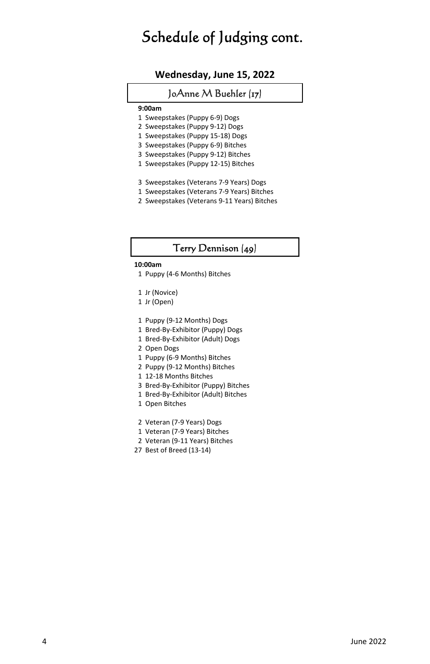### Schedule of Judging cont.

### **Wednesday, June 15, 2022**

### JoAnne M Buehler (17)

### **9:00am**

- 1 Sweepstakes (Puppy 6-9) Dogs
- 2 Sweepstakes (Puppy 9-12) Dogs
- 1 Sweepstakes (Puppy 15-18) Dogs
- 3 Sweepstakes (Puppy 6-9) Bitches
- 3 Sweepstakes (Puppy 9-12) Bitches
- 1 Sweepstakes (Puppy 12-15) Bitches
- 3 Sweepstakes (Veterans 7-9 Years) Dogs
- 1 Sweepstakes (Veterans 7-9 Years) Bitches
- 2 Sweepstakes (Veterans 9-11 Years) Bitches

### Terry Dennison (49)

### **10:00am**

- 1 Puppy (4-6 Months) Bitches
- 1 Jr (Novice)
- 1 Jr (Open)
- 1 Puppy (9-12 Months) Dogs
- 1 Bred-By-Exhibitor (Puppy) Dogs
- 1 Bred-By-Exhibitor (Adult) Dogs
- 2 Open Dogs
- 1 Puppy (6-9 Months) Bitches
- 2 Puppy (9-12 Months) Bitches
- 1 12-18 Months Bitches
- 3 Bred-By-Exhibitor (Puppy) Bitches
- 1 Bred-By-Exhibitor (Adult) Bitches
- 1 Open Bitches
- 2 Veteran (7-9 Years) Dogs
- 1 Veteran (7-9 Years) Bitches
- 2 Veteran (9-11 Years) Bitches
- 27 Best of Breed (13-14)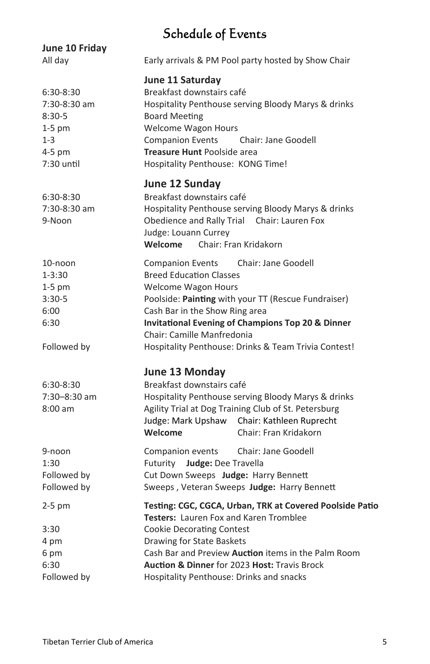### Schedule of Events

| June 10 Friday                                                                       |                                                                                                                                                                                                                                                                                                                                   |
|--------------------------------------------------------------------------------------|-----------------------------------------------------------------------------------------------------------------------------------------------------------------------------------------------------------------------------------------------------------------------------------------------------------------------------------|
| All day                                                                              | Early arrivals & PM Pool party hosted by Show Chair                                                                                                                                                                                                                                                                               |
| 6:30-8:30<br>7:30-8:30 am<br>$8:30-5$<br>$1-5$ pm<br>$1 - 3$<br>4-5 pm<br>7:30 until | June 11 Saturday<br>Breakfast downstairs café<br>Hospitality Penthouse serving Bloody Marys & drinks<br><b>Board Meeting</b><br><b>Welcome Wagon Hours</b><br><b>Companion Events</b><br>Chair: Jane Goodell<br>Treasure Hunt Poolside area<br>Hospitality Penthouse: KONG Time!                                                  |
| 6:30-8:30<br>7:30-8:30 am<br>9-Noon                                                  | June 12 Sunday<br>Breakfast downstairs café<br>Hospitality Penthouse serving Bloody Marys & drinks<br>Obedience and Rally Trial Chair: Lauren Fox<br>Judge: Louann Currey<br>Welcome<br>Chair: Fran Kridakorn                                                                                                                     |
| 10-noon<br>$1 - 3:30$<br>$1-5$ pm<br>$3:30-5$<br>6:00<br>6:30                        | Companion Events Chair: Jane Goodell<br><b>Breed Education Classes</b><br><b>Welcome Wagon Hours</b><br>Poolside: Painting with your TT (Rescue Fundraiser)<br>Cash Bar in the Show Ring area<br><b>Invitational Evening of Champions Top 20 &amp; Dinner</b><br>Chair: Camille Manfredonia                                       |
| Followed by                                                                          | Hospitality Penthouse: Drinks & Team Trivia Contest!                                                                                                                                                                                                                                                                              |
| 6:30-8:30<br>7:30-8:30 am<br>$8:00$ am                                               | June 13 Monday<br>Breakfast downstairs café<br>Hospitality Penthouse serving Bloody Marys & drinks<br>Agility Trial at Dog Training Club of St. Petersburg<br>Judge: Mark Upshaw Chair: Kathleen Ruprecht<br>Welcome<br>Chair: Fran Kridakorn                                                                                     |
| 9-noon<br>1:30<br>Followed by<br>Followed by                                         | Companion events<br>Chair: Jane Goodell<br>Futurity Judge: Dee Travella<br>Cut Down Sweeps Judge: Harry Bennett<br>Sweeps, Veteran Sweeps Judge: Harry Bennett                                                                                                                                                                    |
| $2-5$ pm<br>3:30<br>4 pm<br>6 pm<br>6:30<br>Followed by                              | Testing: CGC, CGCA, Urban, TRK at Covered Poolside Patio<br>Testers: Lauren Fox and Karen Tromblee<br><b>Cookie Decorating Contest</b><br>Drawing for State Baskets<br>Cash Bar and Preview Auction items in the Palm Room<br><b>Auction &amp; Dinner for 2023 Host: Travis Brock</b><br>Hospitality Penthouse: Drinks and snacks |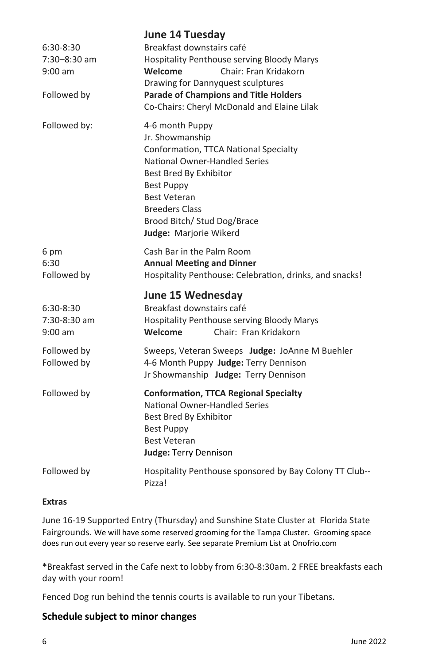|                                                       | <b>June 14 Tuesday</b>                                                                                                                                                                                                                                               |
|-------------------------------------------------------|----------------------------------------------------------------------------------------------------------------------------------------------------------------------------------------------------------------------------------------------------------------------|
| 6:30-8:30<br>7:30-8:30 am<br>$9:00$ am<br>Followed by | Breakfast downstairs café<br>Hospitality Penthouse serving Bloody Marys<br>Welcome<br>Chair: Fran Kridakorn<br>Drawing for Dannyquest sculptures<br><b>Parade of Champions and Title Holders</b><br>Co-Chairs: Cheryl McDonald and Elaine Lilak                      |
| Followed by:                                          | 4-6 month Puppy<br>Jr. Showmanship<br>Conformation, TTCA National Specialty<br>National Owner-Handled Series<br>Best Bred By Exhibitor<br><b>Best Puppy</b><br><b>Best Veteran</b><br><b>Breeders Class</b><br>Brood Bitch/ Stud Dog/Brace<br>Judge: Marjorie Wikerd |
| 6 pm<br>6:30<br>Followed by                           | Cash Bar in the Palm Room<br><b>Annual Meeting and Dinner</b><br>Hospitality Penthouse: Celebration, drinks, and snacks!                                                                                                                                             |
| 6:30-8:30<br>7:30-8:30 am<br>$9:00$ am                | June 15 Wednesday<br>Breakfast downstairs café<br>Hospitality Penthouse serving Bloody Marys<br>Welcome<br>Chair: Fran Kridakorn                                                                                                                                     |
| Followed by<br>Followed by                            | Sweeps, Veteran Sweeps Judge: JoAnne M Buehler<br>4-6 Month Puppy Judge: Terry Dennison<br>Jr Showmanship Judge: Terry Dennison                                                                                                                                      |
| Followed by                                           | <b>Conformation, TTCA Regional Specialty</b><br>National Owner-Handled Series<br>Best Bred By Exhibitor<br><b>Best Puppy</b><br><b>Best Veteran</b><br>Judge: Terry Dennison                                                                                         |
| Followed by                                           | Hospitality Penthouse sponsored by Bay Colony TT Club--<br>Pizza!                                                                                                                                                                                                    |

### **Extras**

June 16-19 Supported Entry (Thursday) and Sunshine State Cluster at Florida State Fairgrounds. We will have some reserved grooming for the Tampa Cluster. Grooming space does run out every year so reserve early. See separate Premium List at Onofrio.com

**\***Breakfast served in the Cafe next to lobby from 6:30-8:30am. 2 FREE breakfasts each day with your room!

Fenced Dog run behind the tennis courts is available to run your Tibetans.

### **Schedule subject to minor changes**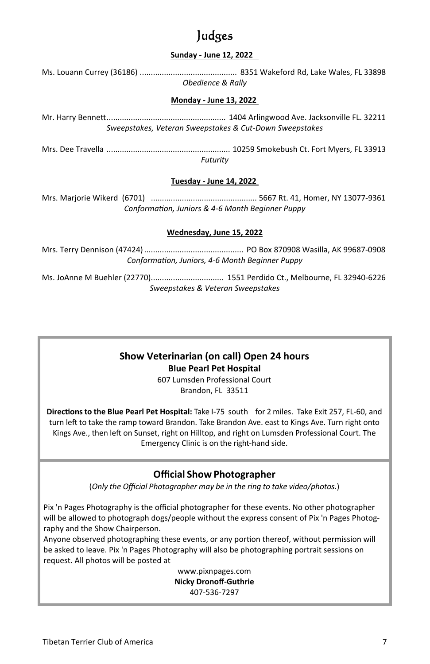### Judges

### **Sunday - June 12, 2022**

Ms. Louann Currey (36186) ............................................ 8351 Wakeford Rd, Lake Wales, FL 33898 *Obedience & Rally* 

### **Monday - June 13, 2022**

Mr. Harry BenneƩ ...................................................... 1404 Arlingwood Ave. Jacksonville FL. 32211 *Sweepstakes, Veteran Sweepstakes & Cut-Down Sweepstakes* 

Mrs. Dee Travella ........................................................ 10259 Smokebush Ct. Fort Myers, FL 33913 *Futurity*

### **Tuesday - June 14, 2022**

Mrs. Marjorie Wikerd (6701) ................................................ 5667 Rt. 41, Homer, NY 13077-9361 *ConformaƟon, Juniors & 4-6 Month Beginner Puppy* 

### **Wednesday, June 15, 2022**

Mrs. Terry Dennison (47424) ............................................. PO Box 870908 Wasilla, AK 99687-0908 *ConformaƟon, Juniors, 4-6 Month Beginner Puppy* 

Ms. JoAnne M Buehler (22770)................................. 1551 Perdido Ct., Melbourne, FL 32940-6226 *Sweepstakes & Veteran Sweepstakes*

### **Show Veterinarian (on call) Open 24 hours Blue Pearl Pet Hospital**

607 Lumsden Professional Court Brandon, FL 33511

**DirecƟons to the Blue Pearl Pet Hospital:** Take I-75 south for 2 miles. Take Exit 257, FL-60, and turn left to take the ramp toward Brandon. Take Brandon Ave. east to Kings Ave. Turn right onto Kings Ave., then left on Sunset, right on Hilltop, and right on Lumsden Professional Court. The Emergency Clinic is on the right-hand side.

### **Official Show Photographer**

(*Only the Official Photographer may be in the ring to take video/photos.*)

Pix 'n Pages Photography is the official photographer for these events. No other photographer will be allowed to photograph dogs/people without the express consent of Pix 'n Pages Photography and the Show Chairperson.

Anyone observed photographing these events, or any portion thereof, without permission will be asked to leave. Pix 'n Pages Photography will also be photographing portrait sessions on request. All photos will be posted at

> www.pixnpages.com **Nicky Dronoff-Guthrie** 407-536-7297